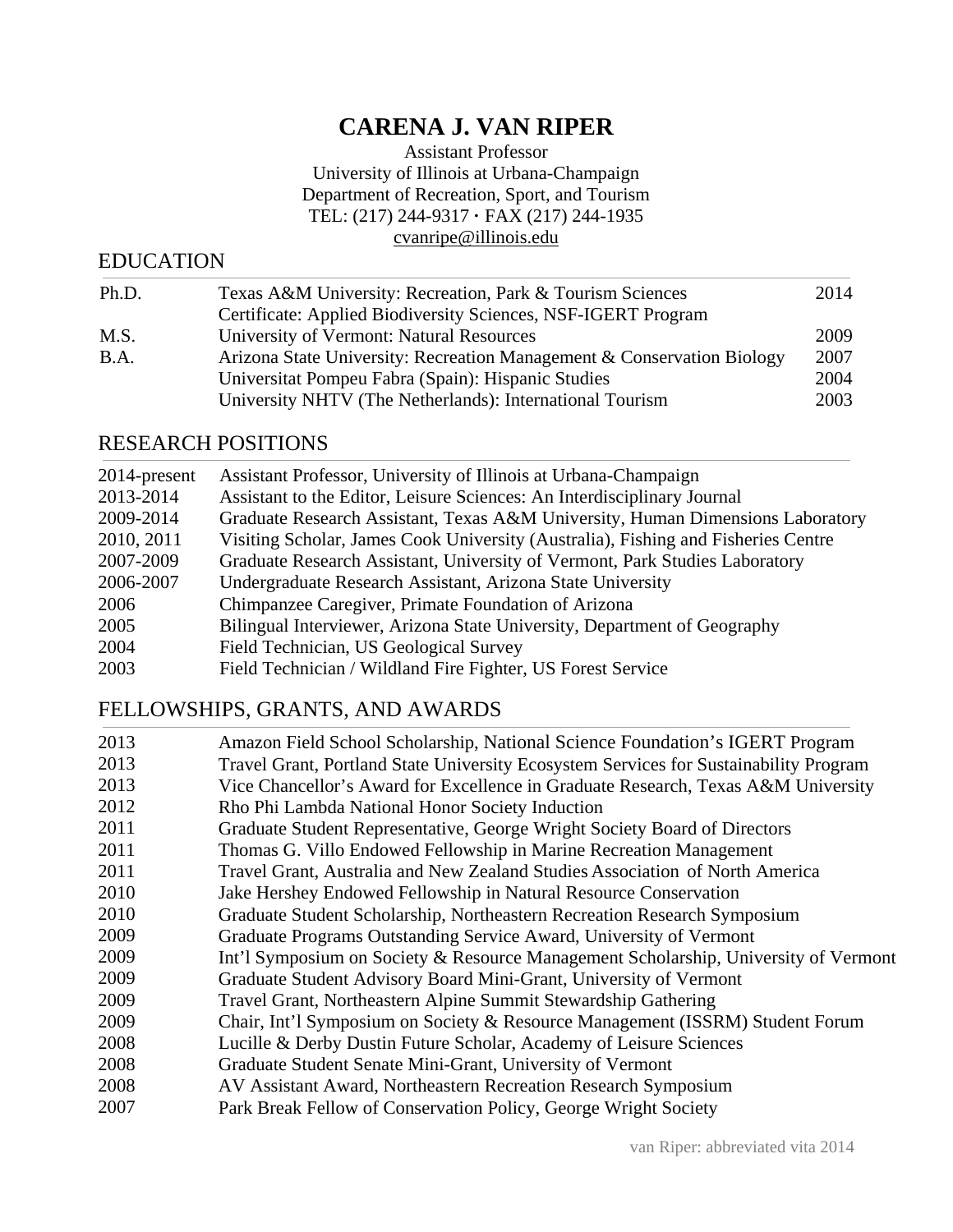# **CARENA J. VAN RIPER**

Assistant Professor University of Illinois at Urbana-Champaign Department of Recreation, Sport, and Tourism TEL: (217) 244-9317 **·** FAX (217) 244-1935 cvanripe@illinois.edu

## EDUCATION

| Ph.D.       | Texas A&M University: Recreation, Park & Tourism Sciences              | 2014 |
|-------------|------------------------------------------------------------------------|------|
|             | Certificate: Applied Biodiversity Sciences, NSF-IGERT Program          |      |
| M.S.        | University of Vermont: Natural Resources                               | 2009 |
| <b>B.A.</b> | Arizona State University: Recreation Management & Conservation Biology | 2007 |
|             | Universitat Pompeu Fabra (Spain): Hispanic Studies                     | 2004 |
|             | University NHTV (The Netherlands): International Tourism               | 2003 |
|             |                                                                        |      |

# RESEARCH POSITIONS

| 2014-present | Assistant Professor, University of Illinois at Urbana-Champaign                   |
|--------------|-----------------------------------------------------------------------------------|
| 2013-2014    | Assistant to the Editor, Leisure Sciences: An Interdisciplinary Journal           |
| 2009-2014    | Graduate Research Assistant, Texas A&M University, Human Dimensions Laboratory    |
| 2010, 2011   | Visiting Scholar, James Cook University (Australia), Fishing and Fisheries Centre |
| 2007-2009    | Graduate Research Assistant, University of Vermont, Park Studies Laboratory       |
| 2006-2007    | Undergraduate Research Assistant, Arizona State University                        |
| 2006         | Chimpanzee Caregiver, Primate Foundation of Arizona                               |
| 2005         | Bilingual Interviewer, Arizona State University, Department of Geography          |
| 2004         | Field Technician, US Geological Survey                                            |
| 2003         | Field Technician / Wildland Fire Fighter, US Forest Service                       |

# FELLOWSHIPS, GRANTS, AND AWARDS

| 2013 | Amazon Field School Scholarship, National Science Foundation's IGERT Program          |
|------|---------------------------------------------------------------------------------------|
| 2013 | Travel Grant, Portland State University Ecosystem Services for Sustainability Program |
| 2013 | Vice Chancellor's Award for Excellence in Graduate Research, Texas A&M University     |
| 2012 | Rho Phi Lambda National Honor Society Induction                                       |
| 2011 | Graduate Student Representative, George Wright Society Board of Directors             |
| 2011 | Thomas G. Villo Endowed Fellowship in Marine Recreation Management                    |
| 2011 | Travel Grant, Australia and New Zealand Studies Association of North America          |
| 2010 | Jake Hershey Endowed Fellowship in Natural Resource Conservation                      |
| 2010 | Graduate Student Scholarship, Northeastern Recreation Research Symposium              |
| 2009 | Graduate Programs Outstanding Service Award, University of Vermont                    |
| 2009 | Int'l Symposium on Society & Resource Management Scholarship, University of Vermont   |
| 2009 | Graduate Student Advisory Board Mini-Grant, University of Vermont                     |
| 2009 | Travel Grant, Northeastern Alpine Summit Stewardship Gathering                        |
| 2009 | Chair, Int'l Symposium on Society & Resource Management (ISSRM) Student Forum         |
| 2008 | Lucille & Derby Dustin Future Scholar, Academy of Leisure Sciences                    |
| 2008 | Graduate Student Senate Mini-Grant, University of Vermont                             |
| 2008 | AV Assistant Award, Northeastern Recreation Research Symposium                        |
| 2007 | Park Break Fellow of Conservation Policy, George Wright Society                       |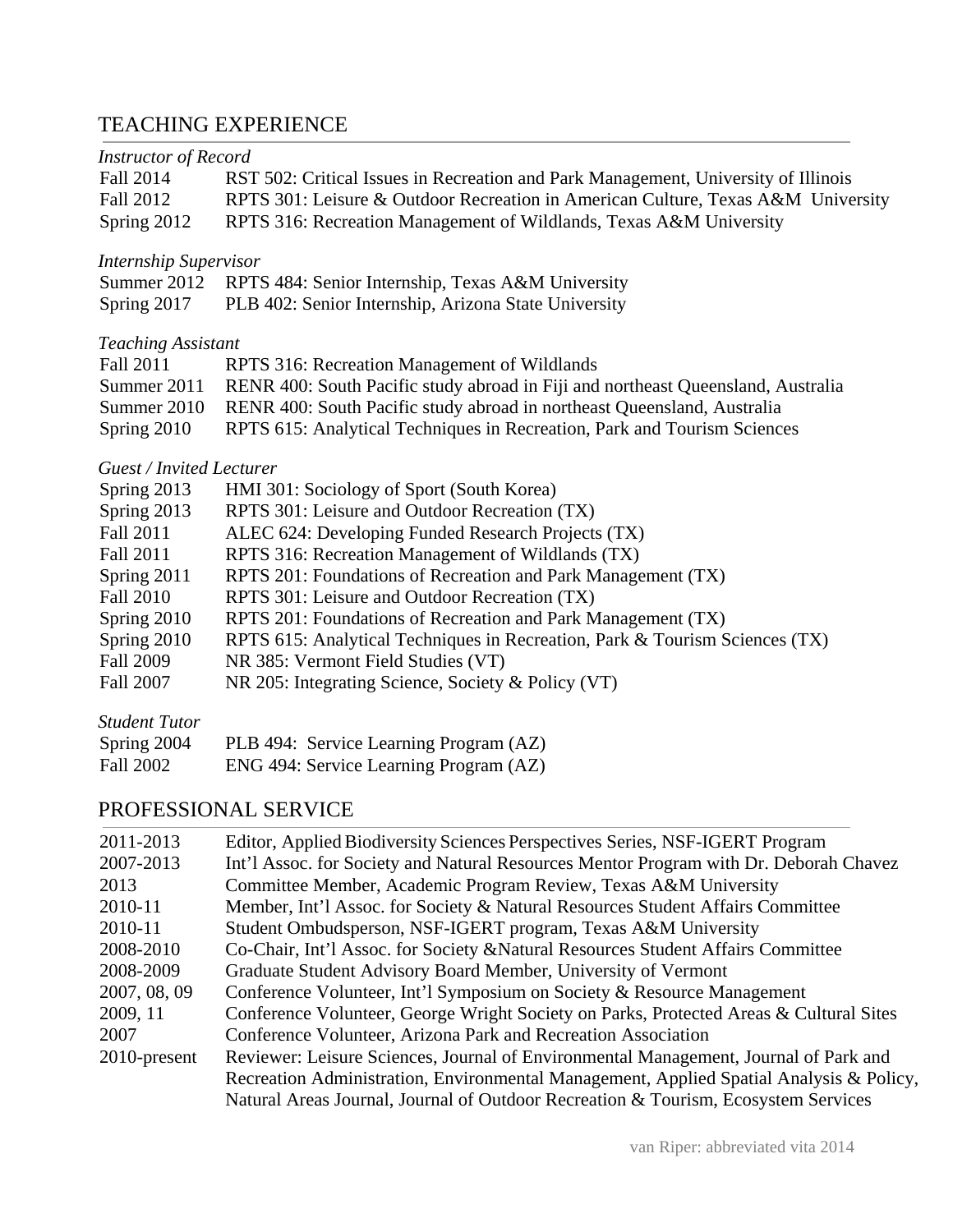# TEACHING EXPERIENCE

| <b>Instructor of Record</b>                                                        |
|------------------------------------------------------------------------------------|
| RST 502: Critical Issues in Recreation and Park Management, University of Illinois |
| RPTS 301: Leisure & Outdoor Recreation in American Culture, Texas A&M University   |
| RPTS 316: Recreation Management of Wildlands, Texas A&M University                 |
| <b>Internship Supervisor</b>                                                       |
| Summer 2012<br>RPTS 484: Senior Internship, Texas A&M University                   |
| PLB 402: Senior Internship, Arizona State University                               |
| <b>Teaching Assistant</b>                                                          |
| RPTS 316: Recreation Management of Wildlands                                       |
| RENR 400: South Pacific study abroad in Fiji and northeast Queensland, Australia   |
| RENR 400: South Pacific study abroad in northeast Queensland, Australia            |
| RPTS 615: Analytical Techniques in Recreation, Park and Tourism Sciences           |
| <b>Guest / Invited Lecturer</b>                                                    |
| HMI 301: Sociology of Sport (South Korea)                                          |
| RPTS 301: Leisure and Outdoor Recreation (TX)                                      |
| ALEC 624: Developing Funded Research Projects (TX)                                 |
| RPTS 316: Recreation Management of Wildlands (TX)                                  |
| RPTS 201: Foundations of Recreation and Park Management (TX)                       |
| RPTS 301: Leisure and Outdoor Recreation (TX)                                      |
| RPTS 201: Foundations of Recreation and Park Management (TX)                       |
| RPTS 615: Analytical Techniques in Recreation, Park & Tourism Sciences (TX)        |
| NR 385: Vermont Field Studies (VT)                                                 |
| NR 205: Integrating Science, Society & Policy (VT)                                 |
|                                                                                    |
| PLB 494: Service Learning Program (AZ)                                             |
| ENG 494: Service Learning Program (AZ)                                             |
|                                                                                    |

# PROFESSIONAL SERVICE

| 2011-2013       | Editor, Applied Biodiversity Sciences Perspectives Series, NSF-IGERT Program            |
|-----------------|-----------------------------------------------------------------------------------------|
| 2007-2013       | Int'l Assoc. for Society and Natural Resources Mentor Program with Dr. Deborah Chavez   |
| 2013            | Committee Member, Academic Program Review, Texas A&M University                         |
| 2010-11         | Member, Int'l Assoc. for Society & Natural Resources Student Affairs Committee          |
| 2010-11         | Student Ombudsperson, NSF-IGERT program, Texas A&M University                           |
| 2008-2010       | Co-Chair, Int'l Assoc. for Society & Natural Resources Student Affairs Committee        |
| 2008-2009       | Graduate Student Advisory Board Member, University of Vermont                           |
| 2007, 08, 09    | Conference Volunteer, Int'l Symposium on Society & Resource Management                  |
| 2009, 11        | Conference Volunteer, George Wright Society on Parks, Protected Areas & Cultural Sites  |
| 2007            | Conference Volunteer, Arizona Park and Recreation Association                           |
| $2010$ -present | Reviewer: Leisure Sciences, Journal of Environmental Management, Journal of Park and    |
|                 | Recreation Administration, Environmental Management, Applied Spatial Analysis & Policy, |
|                 | Natural Areas Journal, Journal of Outdoor Recreation & Tourism, Ecosystem Services      |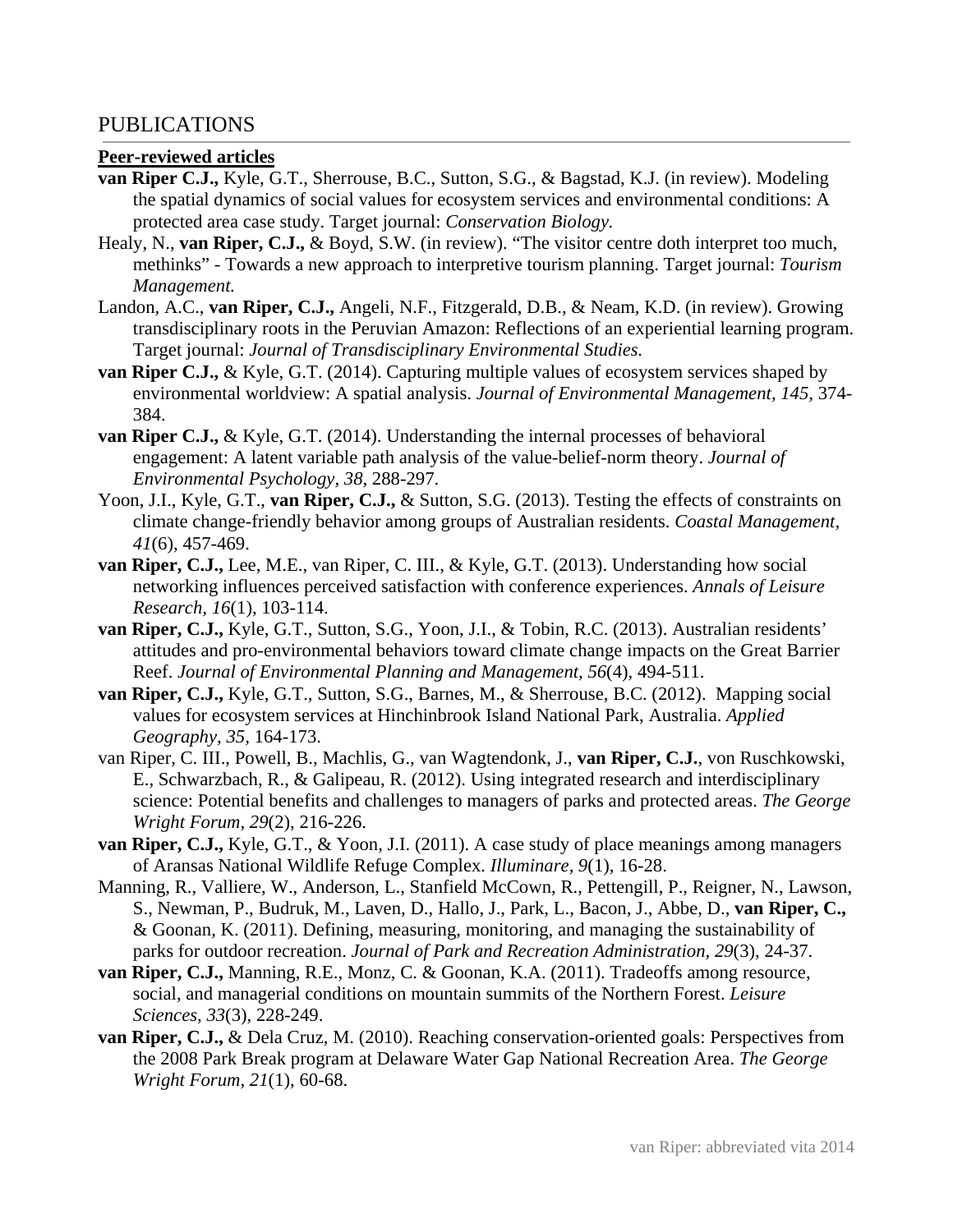### PUBLICATIONS

#### **Peer-reviewed articles**

- **van Riper C.J.,** Kyle, G.T., Sherrouse, B.C., Sutton, S.G., & Bagstad, K.J. (in review). Modeling the spatial dynamics of social values for ecosystem services and environmental conditions: A protected area case study. Target journal: *Conservation Biology.*
- Healy, N., **van Riper, C.J.,** & Boyd, S.W. (in review). "The visitor centre doth interpret too much, methinks" - Towards a new approach to interpretive tourism planning. Target journal: *Tourism Management.*
- Landon, A.C., **van Riper, C.J.,** Angeli, N.F., Fitzgerald, D.B., & Neam, K.D. (in review). Growing transdisciplinary roots in the Peruvian Amazon: Reflections of an experiential learning program. Target journal: *Journal of Transdisciplinary Environmental Studies.*
- **van Riper C.J.,** & Kyle, G.T. (2014). Capturing multiple values of ecosystem services shaped by environmental worldview: A spatial analysis. *Journal of Environmental Management, 145,* 374- 384.
- **van Riper C.J., & Kyle, G.T.** (2014). Understanding the internal processes of behavioral engagement: A latent variable path analysis of the value-belief-norm theory. *Journal of Environmental Psychology, 38,* 288-297.
- Yoon, J.I., Kyle, G.T., **van Riper, C.J.,** & Sutton, S.G. (2013). Testing the effects of constraints on climate change-friendly behavior among groups of Australian residents. *Coastal Management, 41*(6), 457-469.
- **van Riper, C.J.,** Lee, M.E., van Riper, C. III., & Kyle, G.T. (2013). Understanding how social networking influences perceived satisfaction with conference experiences. *Annals of Leisure Research, 16*(1), 103-114.
- **van Riper, C.J.,** Kyle, G.T., Sutton, S.G., Yoon, J.I., & Tobin, R.C. (2013). Australian residents' attitudes and pro-environmental behaviors toward climate change impacts on the Great Barrier Reef. *Journal of Environmental Planning and Management, 56*(4), 494-511.
- **van Riper, C.J.,** Kyle, G.T., Sutton, S.G., Barnes, M., & Sherrouse, B.C. (2012). Mapping social values for ecosystem services at Hinchinbrook Island National Park, Australia. *Applied Geography, 35,* 164-173.
- van Riper, C. III., Powell, B., Machlis, G., van Wagtendonk, J., **van Riper, C.J.**, von Ruschkowski, E., Schwarzbach, R., & Galipeau, R. (2012). Using integrated research and interdisciplinary science: Potential benefits and challenges to managers of parks and protected areas. *The George Wright Forum, 29*(2), 216-226.
- **van Riper, C.J.,** Kyle, G.T., & Yoon, J.I. (2011). A case study of place meanings among managers of Aransas National Wildlife Refuge Complex. *Illuminare, 9*(1), 16-28.
- Manning, R., Valliere, W., Anderson, L., Stanfield McCown, R., Pettengill, P., Reigner, N., Lawson, S., Newman, P., Budruk, M., Laven, D., Hallo, J., Park, L., Bacon, J., Abbe, D., **van Riper, C.,**  & Goonan, K. (2011). Defining, measuring, monitoring, and managing the sustainability of parks for outdoor recreation. *Journal of Park and Recreation Administration, 29*(3), 24-37.
- **van Riper, C.J.,** Manning, R.E., Monz, C. & Goonan, K.A. (2011). Tradeoffs among resource, social, and managerial conditions on mountain summits of the Northern Forest. *Leisure Sciences, 33*(3), 228-249.
- **van Riper, C.J.,** & Dela Cruz, M. (2010). Reaching conservation-oriented goals: Perspectives from the 2008 Park Break program at Delaware Water Gap National Recreation Area. *The George Wright Forum, 21*(1), 60-68.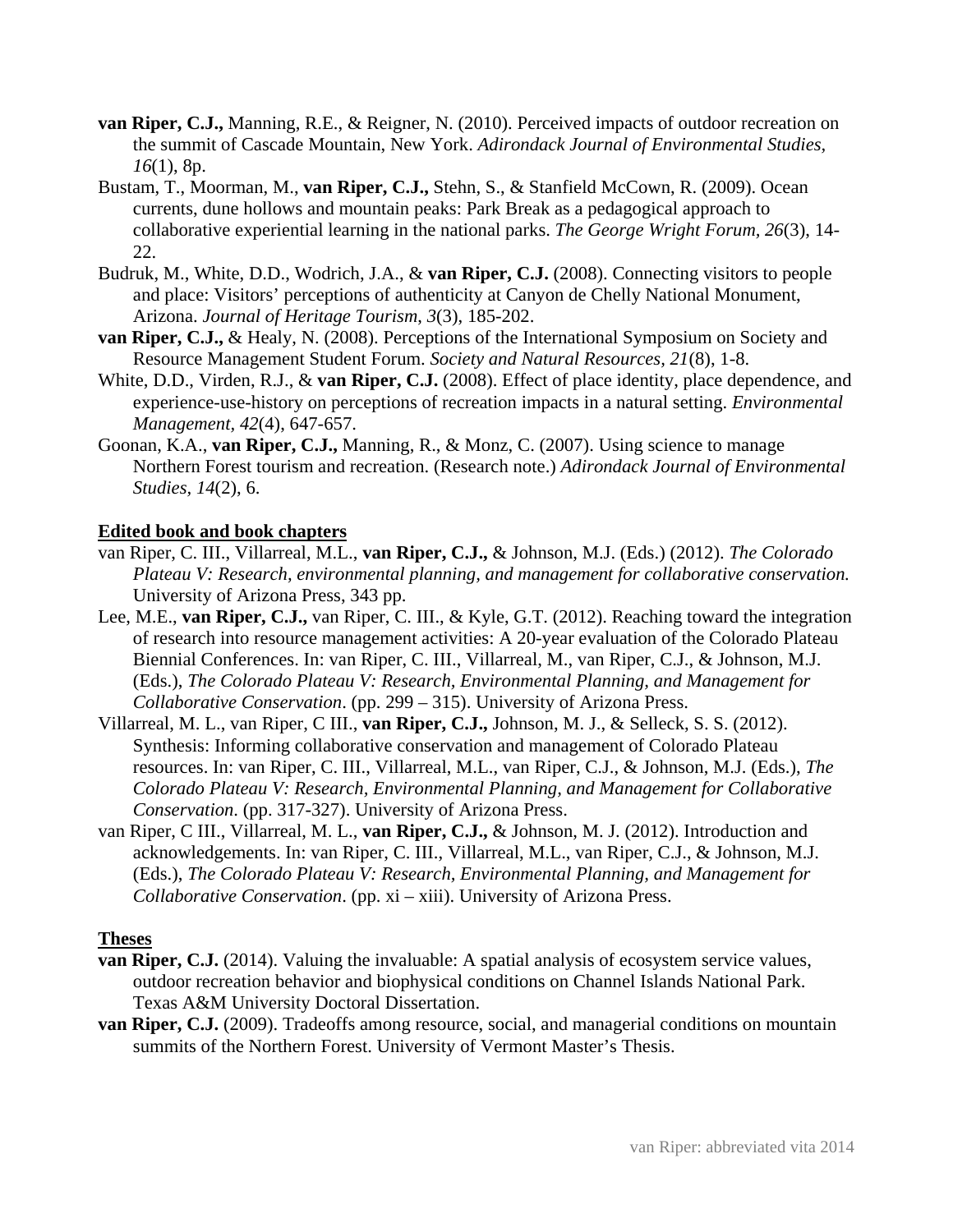- **van Riper, C.J.,** Manning, R.E., & Reigner, N. (2010). Perceived impacts of outdoor recreation on the summit of Cascade Mountain, New York. *Adirondack Journal of Environmental Studies, 16*(1), 8p.
- Bustam, T., Moorman, M., **van Riper, C.J.,** Stehn, S., & Stanfield McCown, R. (2009). Ocean currents, dune hollows and mountain peaks: Park Break as a pedagogical approach to collaborative experiential learning in the national parks. *The George Wright Forum, 26*(3), 14- 22.
- Budruk, M., White, D.D., Wodrich, J.A., & **van Riper, C.J.** (2008). Connecting visitors to people and place: Visitors' perceptions of authenticity at Canyon de Chelly National Monument, Arizona. *Journal of Heritage Tourism*, *3*(3), 185-202.
- **van Riper, C.J.,** & Healy, N. (2008). Perceptions of the International Symposium on Society and Resource Management Student Forum. *Society and Natural Resources, 21*(8), 1-8.
- White, D.D., Virden, R.J., & **van Riper, C.J.** (2008). Effect of place identity, place dependence, and experience-use-history on perceptions of recreation impacts in a natural setting. *Environmental Management, 42*(4), 647-657.
- Goonan, K.A., **van Riper, C.J.,** Manning, R., & Monz, C. (2007). Using science to manage Northern Forest tourism and recreation. (Research note.) *Adirondack Journal of Environmental Studies, 14*(2), 6.

### **Edited book and book chapters**

- van Riper, C. III., Villarreal, M.L., **van Riper, C.J.,** & Johnson, M.J. (Eds.) (2012). *The Colorado Plateau V: Research, environmental planning, and management for collaborative conservation.*  University of Arizona Press, 343 pp.
- Lee, M.E., **van Riper, C.J.,** van Riper, C. III., & Kyle, G.T. (2012). Reaching toward the integration of research into resource management activities: A 20-year evaluation of the Colorado Plateau Biennial Conferences. In: van Riper, C. III., Villarreal, M., van Riper, C.J., & Johnson, M.J. (Eds.), *The Colorado Plateau V: Research, Environmental Planning, and Management for Collaborative Conservation*. (pp. 299 – 315). University of Arizona Press.
- Villarreal, M. L., van Riper, C III., **van Riper, C.J.,** Johnson, M. J., & Selleck, S. S. (2012). Synthesis: Informing collaborative conservation and management of Colorado Plateau resources. In: van Riper, C. III., Villarreal, M.L., van Riper, C.J., & Johnson, M.J. (Eds.), *The Colorado Plateau V: Research, Environmental Planning, and Management for Collaborative Conservation*. (pp. 317-327). University of Arizona Press.
- van Riper, C III., Villarreal, M. L., **van Riper, C.J.,** & Johnson, M. J. (2012). Introduction and acknowledgements. In: van Riper, C. III., Villarreal, M.L., van Riper, C.J., & Johnson, M.J. (Eds.), *The Colorado Plateau V: Research, Environmental Planning, and Management for Collaborative Conservation*. (pp. xi – xiii). University of Arizona Press.

### **Theses**

- **van Riper, C.J.** (2014). Valuing the invaluable: A spatial analysis of ecosystem service values, outdoor recreation behavior and biophysical conditions on Channel Islands National Park. Texas A&M University Doctoral Dissertation.
- **van Riper, C.J.** (2009). Tradeoffs among resource, social, and managerial conditions on mountain summits of the Northern Forest. University of Vermont Master's Thesis.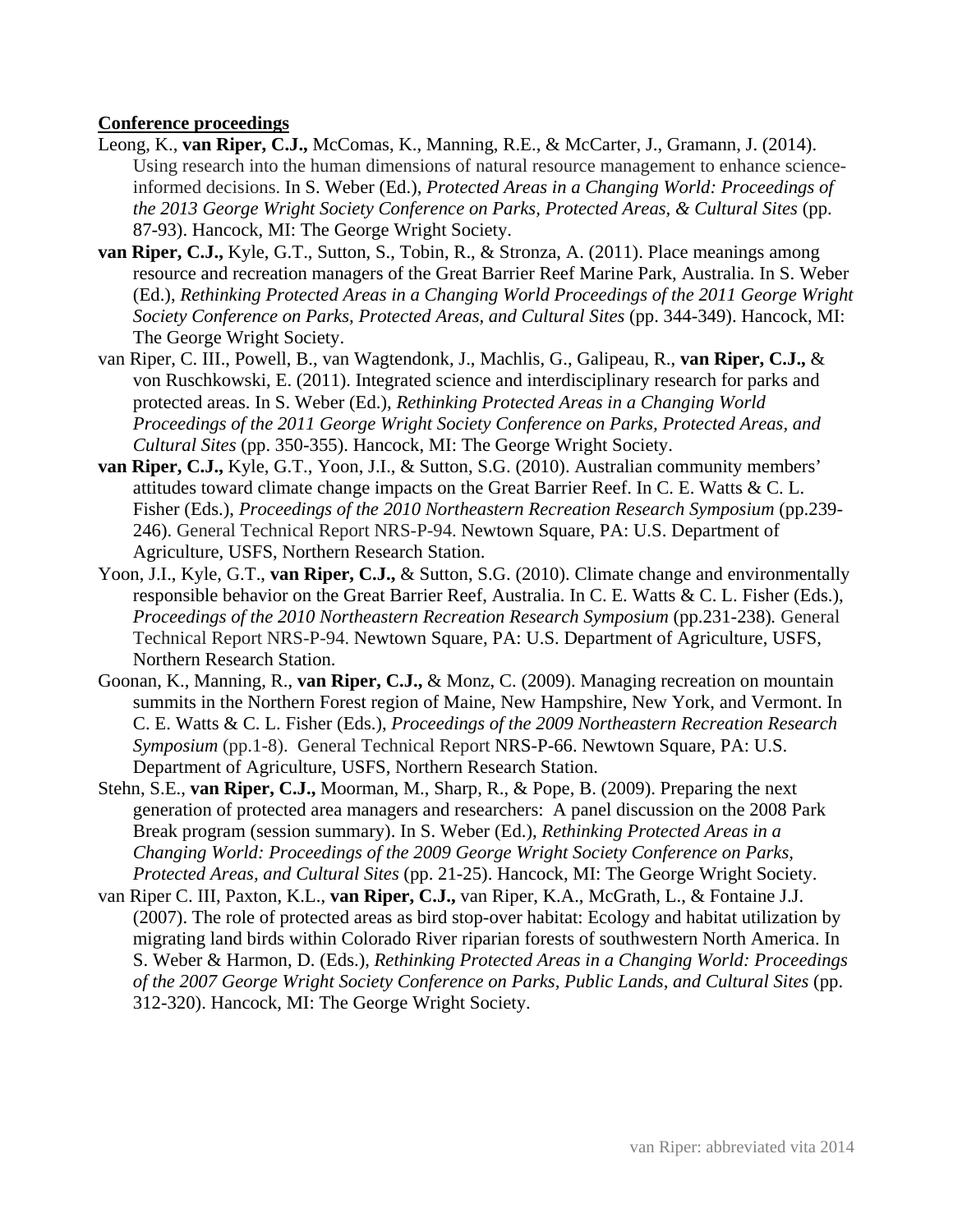### **Conference proceedings**

- Leong, K., **van Riper, C.J.,** McComas, K., Manning, R.E., & McCarter, J., Gramann, J. (2014). Using research into the human dimensions of natural resource management to enhance scienceinformed decisions. In S. Weber (Ed.), *Protected Areas in a Changing World: Proceedings of the 2013 George Wright Society Conference on Parks, Protected Areas, & Cultural Sites (pp.* 87-93). Hancock, MI: The George Wright Society.
- **van Riper, C.J.,** Kyle, G.T., Sutton, S., Tobin, R., & Stronza, A. (2011). Place meanings among resource and recreation managers of the Great Barrier Reef Marine Park, Australia. In S. Weber (Ed.), *Rethinking Protected Areas in a Changing World Proceedings of the 2011 George Wright Society Conference on Parks, Protected Areas, and Cultural Sites* (pp. 344-349). Hancock, MI: The George Wright Society.
- van Riper, C. III., Powell, B., van Wagtendonk, J., Machlis, G., Galipeau, R., **van Riper, C.J.,** & von Ruschkowski, E. (2011). Integrated science and interdisciplinary research for parks and protected areas. In S. Weber (Ed.), *Rethinking Protected Areas in a Changing World Proceedings of the 2011 George Wright Society Conference on Parks, Protected Areas, and Cultural Sites* (pp. 350-355). Hancock, MI: The George Wright Society.
- **van Riper, C.J.,** Kyle, G.T., Yoon, J.I., & Sutton, S.G. (2010). Australian community members' attitudes toward climate change impacts on the Great Barrier Reef. In C. E. Watts & C. L. Fisher (Eds.), *Proceedings of the 2010 Northeastern Recreation Research Symposium* (pp.239- 246). General Technical Report NRS-P-94. Newtown Square, PA: U.S. Department of Agriculture, USFS, Northern Research Station.
- Yoon, J.I., Kyle, G.T., **van Riper, C.J.,** & Sutton, S.G. (2010). Climate change and environmentally responsible behavior on the Great Barrier Reef, Australia. In C. E. Watts & C. L. Fisher (Eds.), *Proceedings of the 2010 Northeastern Recreation Research Symposium (pp.231-238). General* Technical Report NRS-P-94. Newtown Square, PA: U.S. Department of Agriculture, USFS, Northern Research Station.
- Goonan, K., Manning, R., **van Riper, C.J.,** & Monz, C. (2009). Managing recreation on mountain summits in the Northern Forest region of Maine, New Hampshire, New York, and Vermont. In C. E. Watts & C. L. Fisher (Eds.), *Proceedings of the 2009 Northeastern Recreation Research Symposium* (pp.1-8).General Technical Report NRS-P-66. Newtown Square, PA: U.S. Department of Agriculture, USFS, Northern Research Station.
- Stehn, S.E., **van Riper, C.J.,** Moorman, M., Sharp, R., & Pope, B. (2009). Preparing the next generation of protected area managers and researchers: A panel discussion on the 2008 Park Break program (session summary). In S. Weber (Ed.), *Rethinking Protected Areas in a Changing World: Proceedings of the 2009 George Wright Society Conference on Parks, Protected Areas, and Cultural Sites* (pp. 21-25). Hancock, MI: The George Wright Society.
- van Riper C. III, Paxton, K.L., **van Riper, C.J.,** van Riper, K.A., McGrath, L., & Fontaine J.J. (2007). The role of protected areas as bird stop-over habitat: Ecology and habitat utilization by migrating land birds within Colorado River riparian forests of southwestern North America. In S. Weber & Harmon, D. (Eds.), *Rethinking Protected Areas in a Changing World: Proceedings of the 2007 George Wright Society Conference on Parks, Public Lands, and Cultural Sites* (pp. 312-320). Hancock, MI: The George Wright Society.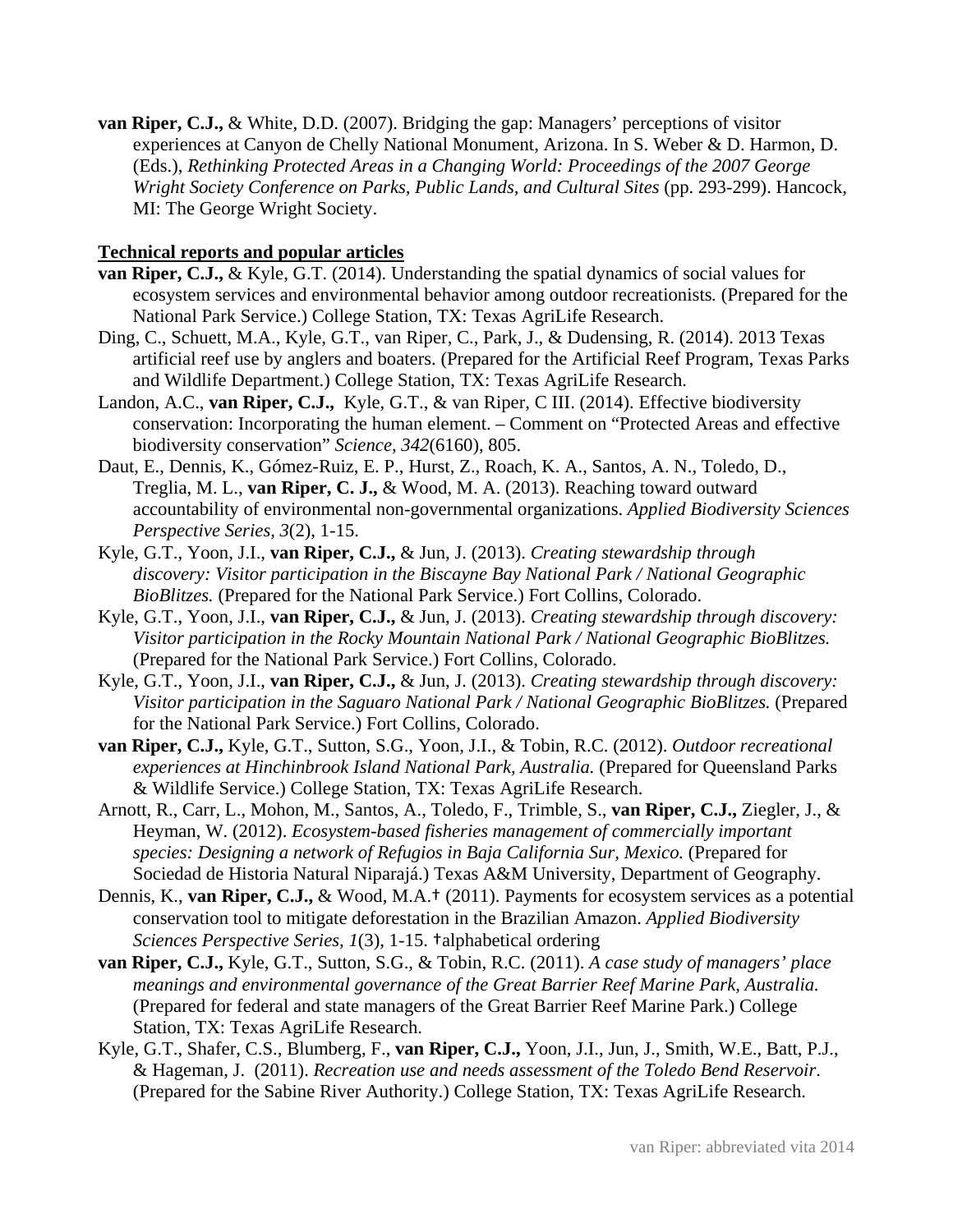**van Riper, C.J.,** & White, D.D. (2007). Bridging the gap: Managers' perceptions of visitor experiences at Canyon de Chelly National Monument, Arizona. In S. Weber & D. Harmon, D. (Eds.), *Rethinking Protected Areas in a Changing World: Proceedings of the 2007 George Wright Society Conference on Parks, Public Lands, and Cultural Sites* (pp. 293-299). Hancock, MI: The George Wright Society.

### **Technical reports and popular articles**

- **van Riper, C.J.,** & Kyle, G.T. (2014). Understanding the spatial dynamics of social values for ecosystem services and environmental behavior among outdoor recreationists*.* (Prepared for the National Park Service.) College Station, TX: Texas AgriLife Research.
- Ding, C., Schuett, M.A., Kyle, G.T., van Riper, C., Park, J., & Dudensing, R. (2014). 2013 Texas artificial reef use by anglers and boaters. (Prepared for the Artificial Reef Program, Texas Parks and Wildlife Department.) College Station, TX: Texas AgriLife Research.
- Landon, A.C., **van Riper, C.J.,** Kyle, G.T., & van Riper, C III. (2014). Effective biodiversity conservation: Incorporating the human element. – Comment on "Protected Areas and effective biodiversity conservation" *Science, 342*(6160), 805.
- Daut, E., Dennis, K., Gómez-Ruiz, E. P., Hurst, Z., Roach, K. A., Santos, A. N., Toledo, D., Treglia, M. L., **van Riper, C. J.,** & Wood, M. A. (2013). Reaching toward outward accountability of environmental non-governmental organizations. *Applied Biodiversity Sciences Perspective Series, 3*(2), 1-15.
- Kyle, G.T., Yoon, J.I., **van Riper, C.J.,** & Jun, J. (2013). *Creating stewardship through discovery: Visitor participation in the Biscayne Bay National Park / National Geographic BioBlitzes.* (Prepared for the National Park Service.) Fort Collins, Colorado.
- Kyle, G.T., Yoon, J.I., **van Riper, C.J.,** & Jun, J. (2013). *Creating stewardship through discovery: Visitor participation in the Rocky Mountain National Park / National Geographic BioBlitzes.* (Prepared for the National Park Service.) Fort Collins, Colorado.
- Kyle, G.T., Yoon, J.I., **van Riper, C.J.,** & Jun, J. (2013). *Creating stewardship through discovery: Visitor participation in the Saguaro National Park / National Geographic BioBlitzes.* (Prepared for the National Park Service.) Fort Collins, Colorado.
- **van Riper, C.J.,** Kyle, G.T., Sutton, S.G., Yoon, J.I., & Tobin, R.C. (2012). *Outdoor recreational*  experiences at Hinchinbrook Island National Park, Australia. (Prepared for Queensland Parks & Wildlife Service.) College Station, TX: Texas AgriLife Research.
- Arnott, R., Carr, L., Mohon, M., Santos, A., Toledo, F., Trimble, S., **van Riper, C.J.,** Ziegler, J., & Heyman, W. (2012). *Ecosystem-based fisheries management of commercially important species: Designing a network of Refugios in Baja California Sur, Mexico.* (Prepared for Sociedad de Historia Natural Niparajá.) Texas A&M University, Department of Geography.
- Dennis, K., **van Riper, C.J.,** & Wood, M.A.† (2011). Payments for ecosystem services as a potential conservation tool to mitigate deforestation in the Brazilian Amazon. *Applied Biodiversity Sciences Perspective Series, 1*(3), 1-15. †alphabetical ordering
- **van Riper, C.J.,** Kyle, G.T., Sutton, S.G., & Tobin, R.C. (2011). *A case study of managers' place meanings and environmental governance of the Great Barrier Reef Marine Park, Australia.* (Prepared for federal and state managers of the Great Barrier Reef Marine Park.) College Station, TX: Texas AgriLife Research.
- Kyle, G.T., Shafer, C.S., Blumberg, F., **van Riper, C.J.,** Yoon, J.I., Jun, J., Smith, W.E., Batt, P.J., & Hageman, J. (2011). *Recreation use and needs assessment of the Toledo Bend Reservoir*. (Prepared for the Sabine River Authority.) College Station, TX: Texas AgriLife Research.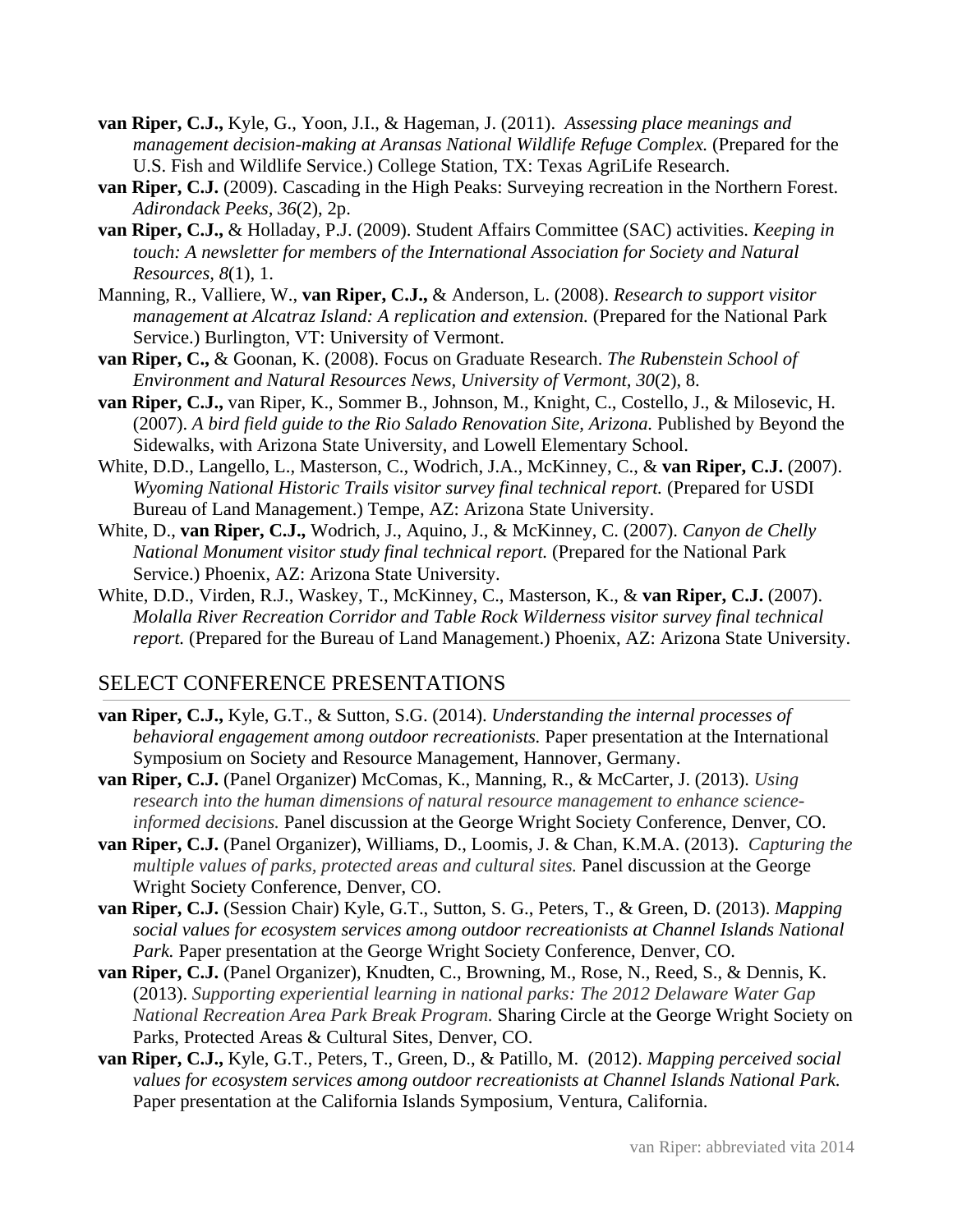- **van Riper, C.J.,** Kyle, G., Yoon, J.I., & Hageman, J. (2011). *Assessing place meanings and management decision-making at Aransas National Wildlife Refuge Complex.* (Prepared for the U.S. Fish and Wildlife Service.) College Station, TX: Texas AgriLife Research.
- **van Riper, C.J.** (2009). Cascading in the High Peaks: Surveying recreation in the Northern Forest. *Adirondack Peeks, 36*(2), 2p.
- **van Riper, C.J.,** & Holladay, P.J. (2009). Student Affairs Committee (SAC) activities. *Keeping in touch: A newsletter for members of the International Association for Society and Natural Resources, 8*(1), 1.
- Manning, R., Valliere, W., **van Riper, C.J.,** & Anderson, L. (2008). *Research to support visitor management at Alcatraz Island: A replication and extension.* (Prepared for the National Park Service.) Burlington, VT: University of Vermont.
- **van Riper, C.,** & Goonan, K. (2008). Focus on Graduate Research. *The Rubenstein School of Environment and Natural Resources News, University of Vermont, 30*(2), 8.
- **van Riper, C.J.,** van Riper, K., Sommer B., Johnson, M., Knight, C., Costello, J., & Milosevic, H. (2007). *A bird field guide to the Rio Salado Renovation Site, Arizona.* Published by Beyond the Sidewalks, with Arizona State University, and Lowell Elementary School.
- White, D.D., Langello, L.*,* Masterson, C.*,* Wodrich, J.A.*,* McKinney, C., & **van Riper, C.J.** (2007).  *Wyoming National Historic Trails visitor survey final technical report.* (Prepared for USDI Bureau of Land Management.) Tempe, AZ: Arizona State University.
- White, D., **van Riper, C.J.,** Wodrich, J., Aquino, J., & McKinney, C. (2007). *Canyon de Chelly National Monument visitor study final technical report.* (Prepared for the National Park Service.) Phoenix, AZ: Arizona State University.
- White, D.D., Virden, R.J., Waskey, T., McKinney, C., Masterson, K., & **van Riper, C.J.** (2007).  *Molalla River Recreation Corridor and Table Rock Wilderness visitor survey final technical report.* (Prepared for the Bureau of Land Management.) Phoenix, AZ: Arizona State University.

## SELECT CONFERENCE PRESENTATIONS

- **van Riper, C.J.,** Kyle, G.T., & Sutton, S.G. (2014). *Understanding the internal processes of behavioral engagement among outdoor recreationists.* Paper presentation at the International Symposium on Society and Resource Management, Hannover, Germany.
- **van Riper, C.J.** (Panel Organizer) McComas, K., Manning, R., & McCarter, J. (2013). *Using research into the human dimensions of natural resource management to enhance scienceinformed decisions.* Panel discussion at the George Wright Society Conference, Denver, CO.
- **van Riper, C.J.** (Panel Organizer), Williams, D., Loomis, J. & Chan, K.M.A. (2013). *Capturing the multiple values of parks, protected areas and cultural sites.* Panel discussion at the George Wright Society Conference, Denver, CO.
- **van Riper, C.J.** (Session Chair) Kyle, G.T., Sutton, S. G., Peters, T., & Green, D. (2013). *Mapping social values for ecosystem services among outdoor recreationists at Channel Islands National Park.* Paper presentation at the George Wright Society Conference, Denver, CO.
- **van Riper, C.J.** (Panel Organizer), Knudten, C., Browning, M., Rose, N., Reed, S., & Dennis, K. (2013). *Supporting experiential learning in national parks: The 2012 Delaware Water Gap National Recreation Area Park Break Program.* Sharing Circle at the George Wright Society on Parks, Protected Areas & Cultural Sites, Denver, CO.
- **van Riper, C.J.,** Kyle, G.T., Peters, T., Green, D., & Patillo, M. (2012). *Mapping perceived social values for ecosystem services among outdoor recreationists at Channel Islands National Park.*  Paper presentation at the California Islands Symposium, Ventura, California.